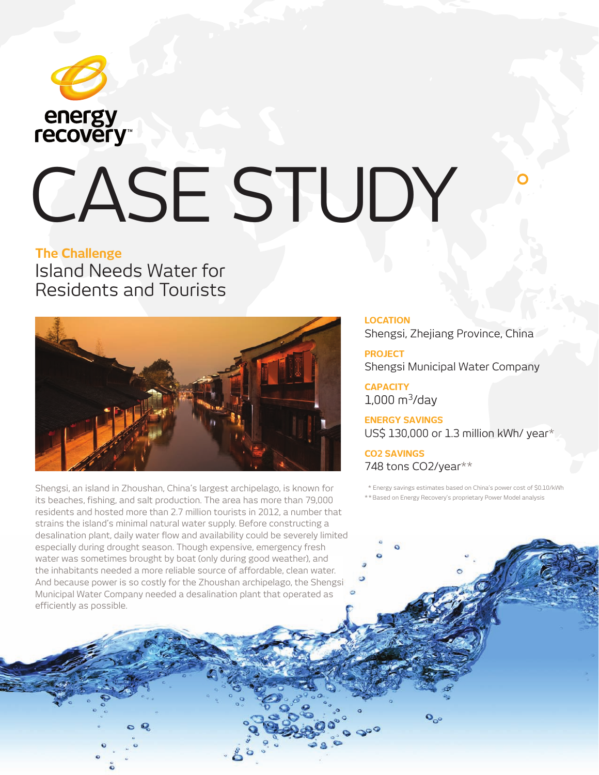

# CASE STUDY

### **The Challenge**

Island Needs Water for Residents and Tourists



Shengsi, an island in Zhoushan, China's largest archipelago, is known for its beaches, fishing, and salt production. The area has more than 79,000 residents and hosted more than 2.7 million tourists in 2012, a number that strains the island's minimal natural water supply. Before constructing a desalination plant, daily water flow and availability could be severely limited especially during drought season. Though expensive, emergency fresh water was sometimes brought by boat (only during good weather), and the inhabitants needed a more reliable source of affordable, clean water. And because power is so costly for the Zhoushan archipelago, the Shengsi Municipal Water Company needed a desalination plant that operated as efficiently as possible.

#### **LOCATION**

Shengsi, Zhejiang Province, China

**PROJECT** Shengsi Municipal Water Company

**CAPACITY**  $1,000 \text{ m}^3/\text{day}$ 

**ENERGY SAVINGS**  US\$ 130,000 or 1.3 million kWh/ year\*

**CO2 SAVINGS**  748 tons CO2/year\*\*

 \* Energy savings estimates based on China's power cost of \$0.10/kWh \* \* Based on Energy Recovery's proprietary Power Model analysis